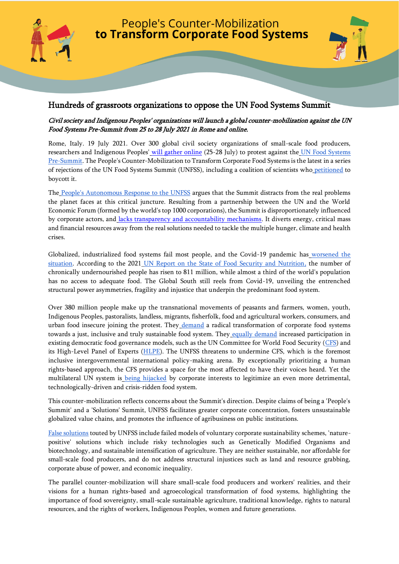



# Hundreds of grassroots organizations to oppose the UN Food Systems Summit

## Civil society and Indigenous Peoples' organizations will launch a global counter-mobilization against the UN Food Systems Pre-Summit from 25 to 28 July 2021 in Rome and online.

Rome, Italy. 19 July 2021. Over 300 global civil society organizations of small-scale food producers, researchers and Indigenous Peoples' [will gather online](https://foodsystems4people.org/) (25-28 July) to protest against the UN Food Systems [Pre-Summit.](https://www.un.org/en/food-systems-summit/pre-summit) The People's Counter-Mobilization to Transform Corporate Food Systems is the latest in a series of rejections of the UN Food Systems Summit (UNFSS), including a coalition of scientists who [petitione](https://agroecologyresearchaction.org/scientists-boycott-the-2021-un-food-systems-summit/)d to boycott it.

The [People's Autonomous Response to the UNFSS](https://www.foodsystems4people.org/about-2/) argues that the Summit distracts from the real problems the planet faces at this critical juncture. Resulting from a partnership between the UN and the World Economic Forum (formed by the world's top 1000 corporations), the Summit is disproportionately influenced by corporate actors, and [lacks transparency and accountability mechanisms.](https://www.frontiersin.org/articles/10.3389/fsufs.2021.661552/full) It diverts energy, critical mass and financial resources away from the real solutions needed to tackle the multiple hunger, climate and health crises.

Globalized, industrialized food systems fail most people, and the Covid-19 pandemic has [worsened the](https://www.csm4cfs.org/wp-content/uploads/2020/12/EN-COVID_FULL_REPORT-2020.pdf)  [situation.](https://www.csm4cfs.org/wp-content/uploads/2020/12/EN-COVID_FULL_REPORT-2020.pdf) According to the 2021 [UN Report on the State of Food Security and Nutrition,](https://sdgs.un.org/events/state-food-security-and-nutrition-world-2021-sofi-33052) the number of chronically undernourished people has risen to 811 million, while almost a third of the world's population has no access to adequate food. The Global South still reels from Covid-19, unveiling the entrenched structural power asymmetries, fragility and injustice that underpin the predominant food system.

Over 380 million people make up the transnational movements of peasants and farmers, women, youth, Indigenous Peoples, pastoralists, landless, migrants, fisherfolk, food and agricultural workers, consumers, and urban food insecure joining the protest. They [demand](https://www.csm4cfs.org/letter-csm-coordination-committee-cfs-chair/) a radical transformation of corporate food systems towards a just, inclusive and truly sustainable food system. They [equally demand](https://www.csm4cfs.org/wp-content/uploads/2021/07/Common-analysis-EN.pdf) increased participation in existing democratic food governance models, such as the UN Committee for World Food Security [\(CFS\)](http://www.fao.org/cfs/en/) and its High-Level Panel of Experts [\(HLPE\)](http://www.fao.org/cfs/cfs-hlpe/about-the-hlpe/en/#:~:text=The%20High%20Level%20Panel%20of,dealing%20with%20food%20security%20and). The UNFSS threatens to undermine CFS, which is the foremost inclusive intergovernmental international policy-making arena. By exceptionally prioritizing a human rights-based approach, the CFS provides a space for the most affected to have their voices heard. Yet the multilateral UN system is [being hijacked](https://www.csm4cfs.org/multilateralism-transformation-corporate-food-systems-different-visions-different-pathways/) by corporate interests to legitimize an even more detrimental, technologically-driven and crisis-ridden food system.

This counter-mobilization reflects concerns about the Summit's direction. Despite claims of being a 'People's Summit' and a 'Solutions' Summit, UNFSS facilitates greater corporate concentration, fosters unsustainable globalized value chains, and promotes the influence of agribusiness on public institutions.

[False solutions](https://www.foei.org/features/junk-agroecology-corporations-co-opting-peoples-solutions-food-crisis-covid-19) touted by UNFSS include failed models of voluntary corporate sustainability schemes, 'naturepositive' solutions which include risky technologies such as Genetically Modified Organisms and biotechnology, and sustainable intensification of agriculture. They are neither sustainable, nor affordable for small-scale food producers, and do not address structural injustices such as land and resource grabbing, corporate abuse of power, and economic inequality.

The parallel counter-mobilization will share small-scale food producers and workers' realities, and their visions for a human rights-based and agroecological transformation of food systems, highlighting the importance of food sovereignty, small-scale sustainable agriculture, traditional knowledge, rights to natural resources, and the rights of workers, Indigenous Peoples, women and future generations.